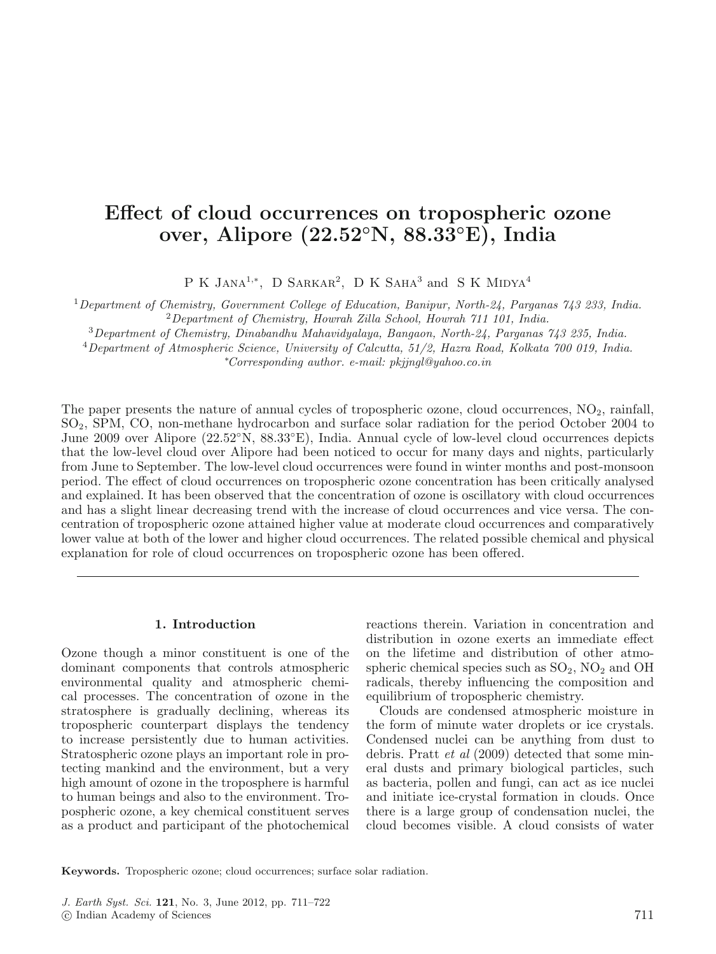# **Effect of cloud occurrences on tropospheric ozone over, Alipore (22.52***◦***N, 88.33***◦***E), India**

P K JANA<sup>1,\*</sup>, D SARKAR<sup>2</sup>, D K SAHA<sup>3</sup> and S K MIDYA<sup>4</sup>

<sup>1</sup>Department of Chemistry, Government College of Education, Banipur, North-24, Parganas 743 233, India.  $2$ Department of Chemistry, Howrah Zilla School, Howrah  $711$  101, India.

<sup>3</sup>Department of Chemistry, Dinabandhu Mahavidyalaya, Bangaon, North-24, Parganas 743 235, India.

<sup>4</sup>Department of Atmospheric Science, University of Calcutta, 51/2, Hazra Road, Kolkata 700 019, India.

∗ Corresponding author. e-mail: pkjjngl@yahoo.co.in

The paper presents the nature of annual cycles of tropospheric ozone, cloud occurrences,  $NO_2$ , rainfall, SO2, SPM, CO, non-methane hydrocarbon and surface solar radiation for the period October 2004 to June 2009 over Alipore (22.52◦N, 88.33◦E), India. Annual cycle of low-level cloud occurrences depicts that the low-level cloud over Alipore had been noticed to occur for many days and nights, particularly from June to September. The low-level cloud occurrences were found in winter months and post-monsoon period. The effect of cloud occurrences on tropospheric ozone concentration has been critically analysed and explained. It has been observed that the concentration of ozone is oscillatory with cloud occurrences and has a slight linear decreasing trend with the increase of cloud occurrences and vice versa. The concentration of tropospheric ozone attained higher value at moderate cloud occurrences and comparatively lower value at both of the lower and higher cloud occurrences. The related possible chemical and physical explanation for role of cloud occurrences on tropospheric ozone has been offered.

## **1. Introduction**

Ozone though a minor constituent is one of the dominant components that controls atmospheric environmental quality and atmospheric chemical processes. The concentration of ozone in the stratosphere is gradually declining, whereas its tropospheric counterpart displays the tendency to increase persistently due to human activities. Stratospheric ozone plays an important role in protecting mankind and the environment, but a very high amount of ozone in the troposphere is harmful to human beings and also to the environment. Tropospheric ozone, a key chemical constituent serves as a product and participant of the photochemical

reactions therein. Variation in concentration and distribution in ozone exerts an immediate effect on the lifetime and distribution of other atmospheric chemical species such as  $SO_2$ ,  $NO_2$  and OH radicals, thereby influencing the composition and equilibrium of tropospheric chemistry.

Clouds are condensed atmospheric moisture in the form of minute water droplets or ice crystals. Condensed nuclei can be anything from dust to debris. Pratt et al (2009) detected that some mineral dusts and primary biological particles, such as bacteria, pollen and fungi, can act as ice nuclei and initiate ice-crystal formation in clouds. Once there is a large group of condensation nuclei, the cloud becomes visible. A cloud consists of water

**Keywords.** Tropospheric ozone; cloud occurrences; surface solar radiation.

J. Earth Syst. Sci. **121**, No. 3, June 2012, pp. 711–722

<sup>-</sup>c Indian Academy of Sciences 711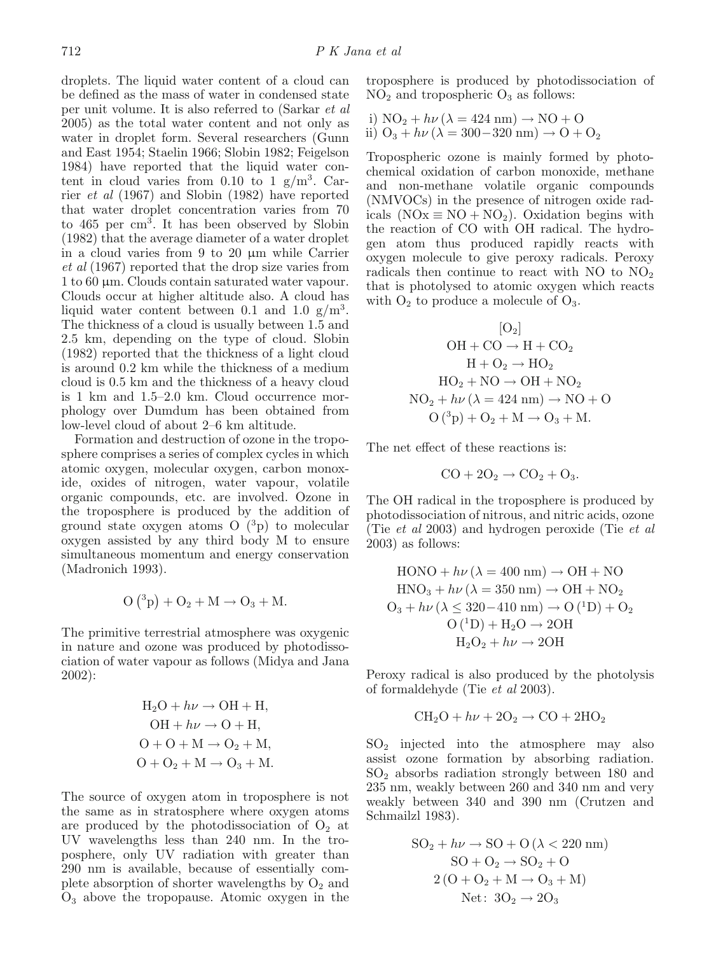droplets. The liquid water content of a cloud can be defined as the mass of water in condensed state per unit volume. It is also referred to (Sarkar et al 2005) as the total water content and not only as water in droplet form. Several researchers (Gunn and East 1954; Staelin 1966; Slobin 1982; Feigelson 1984) have reported that the liquid water content in cloud varies from 0.10 to 1  $g/m<sup>3</sup>$ . Carrier et al (1967) and Slobin (1982) have reported that water droplet concentration varies from 70 to 465 per cm<sup>3</sup>. It has been observed by Slobin (1982) that the average diameter of a water droplet in a cloud varies from 9 to 20 μm while Carrier et al (1967) reported that the drop size varies from 1 to 60 μm. Clouds contain saturated water vapour. Clouds occur at higher altitude also. A cloud has liquid water content between 0.1 and 1.0  $g/m<sup>3</sup>$ . The thickness of a cloud is usually between 1.5 and 2.5 km, depending on the type of cloud. Slobin (1982) reported that the thickness of a light cloud is around 0.2 km while the thickness of a medium cloud is 0.5 km and the thickness of a heavy cloud is 1 km and 1.5–2.0 km. Cloud occurrence morphology over Dumdum has been obtained from low-level cloud of about 2–6 km altitude.

Formation and destruction of ozone in the troposphere comprises a series of complex cycles in which atomic oxygen, molecular oxygen, carbon monoxide, oxides of nitrogen, water vapour, volatile organic compounds, etc. are involved. Ozone in the troposphere is produced by the addition of ground state oxygen atoms  $O(3p)$  to molecular oxygen assisted by any third body M to ensure simultaneous momentum and energy conservation (Madronich 1993).

$$
O(^{3}p) + O_{2} + M \rightarrow O_{3} + M.
$$

The primitive terrestrial atmosphere was oxygenic in nature and ozone was produced by photodissociation of water vapour as follows (Midya and Jana 2002):

$$
H2O + h\nu \rightarrow OH + H,
$$
  
OH + h\nu \rightarrow O + H,  

$$
O + O + M \rightarrow O2 + M,
$$
  

$$
O + O2 + M \rightarrow O3 + M.
$$

The source of oxygen atom in troposphere is not the same as in stratosphere where oxygen atoms are produced by the photodissociation of  $O_2$  at UV wavelengths less than 240 nm. In the troposphere, only UV radiation with greater than 290 nm is available, because of essentially complete absorption of shorter wavelengths by  $O_2$  and  $O_3$  above the tropopause. Atomic oxygen in the troposphere is produced by photodissociation of  $NO<sub>2</sub>$  and tropospheric  $O<sub>3</sub>$  as follows:

i) NO<sub>2</sub> + 
$$
h\nu
$$
 ( $\lambda$  = 424 nm)  $\rightarrow$  NO + O  
ii) O<sub>3</sub> +  $h\nu$  ( $\lambda$  = 300–320 nm)  $\rightarrow$  O + O<sub>2</sub>

Tropospheric ozone is mainly formed by photochemical oxidation of carbon monoxide, methane and non-methane volatile organic compounds (NMVOCs) in the presence of nitrogen oxide radicals  $(NOx \equiv NO + NO<sub>2</sub>)$ . Oxidation begins with the reaction of CO with OH radical. The hydrogen atom thus produced rapidly reacts with oxygen molecule to give peroxy radicals. Peroxy radicals then continue to react with  $NO$  to  $NO<sub>2</sub>$ that is photolysed to atomic oxygen which reacts with  $O_2$  to produce a molecule of  $O_3$ .

$$
[O2]
$$
  
\n
$$
OH + CO \rightarrow H + CO2
$$
  
\n
$$
H + O2 \rightarrow HO2
$$
  
\n
$$
HO2 + NO \rightarrow OH + NO2
$$
  
\n
$$
NO2 + h\nu (\lambda = 424 \text{ nm}) \rightarrow NO + O
$$
  
\n
$$
O(^{3}p) + O2 + M \rightarrow O3 + M.
$$

The net effect of these reactions is:

$$
CO + 2O_2 \rightarrow CO_2 + O_3.
$$

The OH radical in the troposphere is produced by photodissociation of nitrous, and nitric acids, ozone (Tie et al 2003) and hydrogen peroxide (Tie et al 2003) as follows:

$$
HONO + h\nu (\lambda = 400 \text{ nm}) \rightarrow OH + NO
$$
  
\n
$$
H NO_3 + h\nu (\lambda = 350 \text{ nm}) \rightarrow OH + NO_2
$$
  
\n
$$
O_3 + h\nu (\lambda \le 320 - 410 \text{ nm}) \rightarrow O(^{1}D) + O_2
$$
  
\n
$$
O(^{1}D) + H_2O \rightarrow 2OH
$$
  
\n
$$
H_2O_2 + h\nu \rightarrow 2OH
$$

Peroxy radical is also produced by the photolysis of formaldehyde (Tie et al 2003).

$$
CH_2O + h\nu + 2O_2 \rightarrow CO + 2HO_2
$$

SO<sup>2</sup> injected into the atmosphere may also assist ozone formation by absorbing radiation. SO<sup>2</sup> absorbs radiation strongly between 180 and 235 nm, weakly between 260 and 340 nm and very weakly between 340 and 390 nm (Crutzen and Schmailzl 1983).

$$
SO2 + h\nu \rightarrow SO + O (\lambda < 220 nm)
$$
  
\n
$$
SO + O2 \rightarrow SO2 + O
$$
  
\n
$$
2 (O + O2 + M \rightarrow O3 + M)
$$
  
\nNet: 
$$
3O2 \rightarrow 2O3
$$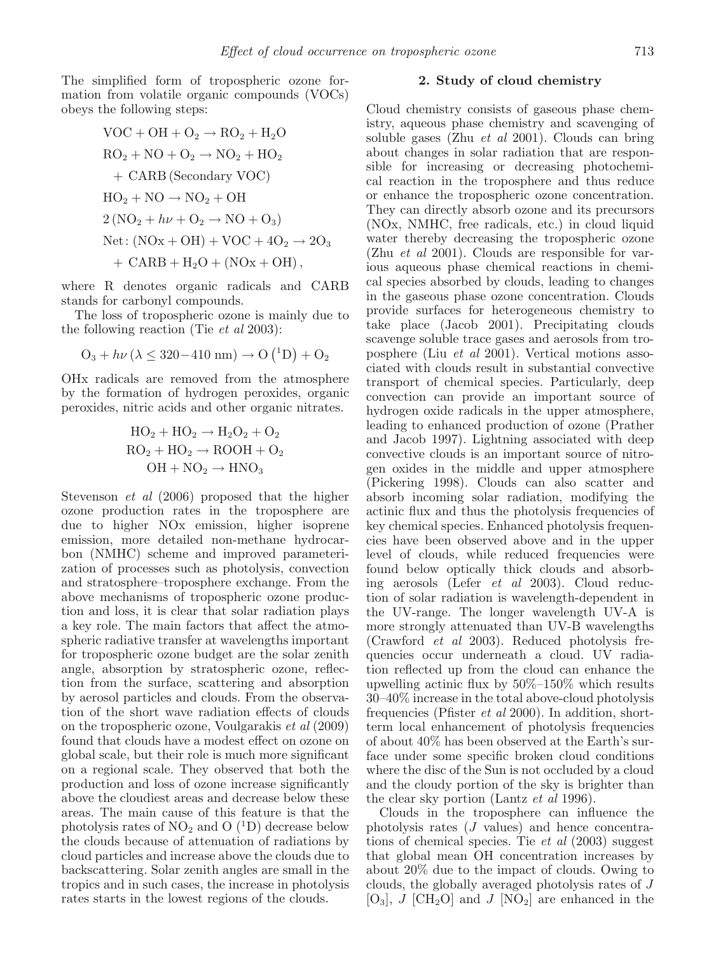The simplified form of tropospheric ozone formation from volatile organic compounds (VOCs) obeys the following steps:

$$
VOC + OH + O2 \rightarrow RO2 + H2O
$$
  
\n
$$
RO2 + NO + O2 \rightarrow NO2 + HO2
$$
  
\n+ CARB (Secondary VOC)  
\n
$$
HO2 + NO \rightarrow NO2 + OH
$$
  
\n
$$
2 (NO2 + h\nu + O2 \rightarrow NO + O3)
$$
  
\nNet: 
$$
(NOx + OH) + VOC + 4O2 \rightarrow 2O3
$$
  
\n+ CARB + H<sub>2</sub>O + (NOx + OH),

where R denotes organic radicals and CARB stands for carbonyl compounds.

The loss of tropospheric ozone is mainly due to the following reaction (Tie et al 2003):

$$
O_3 + h\nu
$$
 ( $\lambda \le 320-410$  nm)  $\rightarrow$  O(^1D) + O<sub>2</sub>

OHx radicals are removed from the atmosphere by the formation of hydrogen peroxides, organic peroxides, nitric acids and other organic nitrates.

$$
HO2 + HO2 \rightarrow H2O2 + O2
$$
  
RO<sub>2</sub> + HO<sub>2</sub> \rightarrow ROOH + O<sub>2</sub>  
OH + NO<sub>2</sub> \rightarrow HNO<sub>3</sub>

Stevenson et al (2006) proposed that the higher ozone production rates in the troposphere are due to higher NOx emission, higher isoprene emission, more detailed non-methane hydrocarbon (NMHC) scheme and improved parameterization of processes such as photolysis, convection and stratosphere–troposphere exchange. From the above mechanisms of tropospheric ozone production and loss, it is clear that solar radiation plays a key role. The main factors that affect the atmospheric radiative transfer at wavelengths important for tropospheric ozone budget are the solar zenith angle, absorption by stratospheric ozone, reflection from the surface, scattering and absorption by aerosol particles and clouds. From the observation of the short wave radiation effects of clouds on the tropospheric ozone, Voulgarakis et al (2009) found that clouds have a modest effect on ozone on global scale, but their role is much more significant on a regional scale. They observed that both the production and loss of ozone increase significantly above the cloudiest areas and decrease below these areas. The main cause of this feature is that the photolysis rates of  $NO<sub>2</sub>$  and  $O(^{1}D)$  decrease below the clouds because of attenuation of radiations by cloud particles and increase above the clouds due to backscattering. Solar zenith angles are small in the tropics and in such cases, the increase in photolysis rates starts in the lowest regions of the clouds.

## **2. Study of cloud chemistry**

Cloud chemistry consists of gaseous phase chemistry, aqueous phase chemistry and scavenging of soluble gases (Zhu et al 2001). Clouds can bring about changes in solar radiation that are responsible for increasing or decreasing photochemical reaction in the troposphere and thus reduce or enhance the tropospheric ozone concentration. They can directly absorb ozone and its precursors (NOx, NMHC, free radicals, etc.) in cloud liquid water thereby decreasing the tropospheric ozone (Zhu et al 2001). Clouds are responsible for various aqueous phase chemical reactions in chemical species absorbed by clouds, leading to changes in the gaseous phase ozone concentration. Clouds provide surfaces for heterogeneous chemistry to take place (Jacob 2001). Precipitating clouds scavenge soluble trace gases and aerosols from troposphere (Liu et al 2001). Vertical motions associated with clouds result in substantial convective transport of chemical species. Particularly, deep convection can provide an important source of hydrogen oxide radicals in the upper atmosphere, leading to enhanced production of ozone (Prather and Jacob 1997). Lightning associated with deep convective clouds is an important source of nitrogen oxides in the middle and upper atmosphere (Pickering 1998). Clouds can also scatter and absorb incoming solar radiation, modifying the actinic flux and thus the photolysis frequencies of key chemical species. Enhanced photolysis frequencies have been observed above and in the upper level of clouds, while reduced frequencies were found below optically thick clouds and absorbing aerosols (Lefer et al 2003). Cloud reduction of solar radiation is wavelength-dependent in the UV-range. The longer wavelength UV-A is more strongly attenuated than UV-B wavelengths (Crawford et al 2003). Reduced photolysis frequencies occur underneath a cloud. UV radiation reflected up from the cloud can enhance the upwelling actinic flux by  $50\%$ – $150\%$  which results 30–40% increase in the total above-cloud photolysis frequencies (Pfister et al 2000). In addition, shortterm local enhancement of photolysis frequencies of about 40% has been observed at the Earth's surface under some specific broken cloud conditions where the disc of the Sun is not occluded by a cloud and the cloudy portion of the sky is brighter than the clear sky portion (Lantz et al 1996).

Clouds in the troposphere can influence the photolysis rates (J values) and hence concentrations of chemical species. Tie et al (2003) suggest that global mean OH concentration increases by about 20% due to the impact of clouds. Owing to clouds, the globally averaged photolysis rates of J  $[O_3]$ , J  $[CH_2O]$  and J  $[NO_2]$  are enhanced in the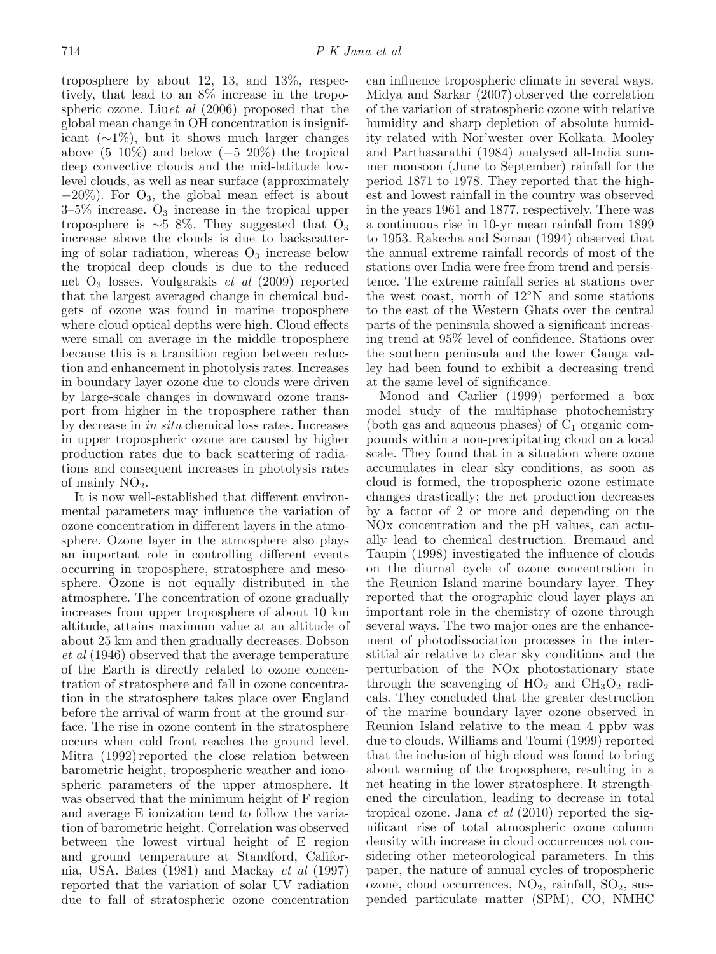troposphere by about 12, 13, and 13%, respectively, that lead to an 8% increase in the tropospheric ozone. Liuet al (2006) proposed that the global mean change in OH concentration is insignificant ( $\sim$ 1%), but it shows much larger changes above  $(5-10\%)$  and below  $(-5-20\%)$  the tropical deep convective clouds and the mid-latitude lowlevel clouds, as well as near surface (approximately  $-20\%$ ). For O<sub>3</sub>, the global mean effect is about  $3-5\%$  increase.  $O_3$  increase in the tropical upper troposphere is  $\sim$ 5–8%. They suggested that O<sub>3</sub> increase above the clouds is due to backscattering of solar radiation, whereas  $O<sub>3</sub>$  increase below the tropical deep clouds is due to the reduced net  $O_3$  losses. Voulgarakis et al (2009) reported that the largest averaged change in chemical budgets of ozone was found in marine troposphere where cloud optical depths were high. Cloud effects were small on average in the middle troposphere because this is a transition region between reduction and enhancement in photolysis rates. Increases in boundary layer ozone due to clouds were driven by large-scale changes in downward ozone transport from higher in the troposphere rather than by decrease in in situ chemical loss rates. Increases in upper tropospheric ozone are caused by higher production rates due to back scattering of radiations and consequent increases in photolysis rates of mainly  $NO<sub>2</sub>$ .

It is now well-established that different environmental parameters may influence the variation of ozone concentration in different layers in the atmosphere. Ozone layer in the atmosphere also plays an important role in controlling different events occurring in troposphere, stratosphere and mesosphere. Ozone is not equally distributed in the atmosphere. The concentration of ozone gradually increases from upper troposphere of about 10 km altitude, attains maximum value at an altitude of about 25 km and then gradually decreases. Dobson et al (1946) observed that the average temperature of the Earth is directly related to ozone concentration of stratosphere and fall in ozone concentration in the stratosphere takes place over England before the arrival of warm front at the ground surface. The rise in ozone content in the stratosphere occurs when cold front reaches the ground level. Mitra (1992) reported the close relation between barometric height, tropospheric weather and ionospheric parameters of the upper atmosphere. It was observed that the minimum height of F region and average E ionization tend to follow the variation of barometric height. Correlation was observed between the lowest virtual height of E region and ground temperature at Standford, California, USA. Bates (1981) and Mackay et al (1997) reported that the variation of solar UV radiation due to fall of stratospheric ozone concentration

can influence tropospheric climate in several ways. Midya and Sarkar (2007) observed the correlation of the variation of stratospheric ozone with relative humidity and sharp depletion of absolute humidity related with Nor'wester over Kolkata. Mooley and Parthasarathi (1984) analysed all-India summer monsoon (June to September) rainfall for the period 1871 to 1978. They reported that the highest and lowest rainfall in the country was observed in the years 1961 and 1877, respectively. There was a continuous rise in 10-yr mean rainfall from 1899 to 1953. Rakecha and Soman (1994) observed that the annual extreme rainfall records of most of the stations over India were free from trend and persistence. The extreme rainfall series at stations over the west coast, north of 12◦N and some stations to the east of the Western Ghats over the central parts of the peninsula showed a significant increasing trend at 95% level of confidence. Stations over the southern peninsula and the lower Ganga valley had been found to exhibit a decreasing trend at the same level of significance.

Monod and Carlier (1999) performed a box model study of the multiphase photochemistry (both gas and aqueous phases) of  $C_1$  organic compounds within a non-precipitating cloud on a local scale. They found that in a situation where ozone accumulates in clear sky conditions, as soon as cloud is formed, the tropospheric ozone estimate changes drastically; the net production decreases by a factor of 2 or more and depending on the NOx concentration and the pH values, can actually lead to chemical destruction. Bremaud and Taupin (1998) investigated the influence of clouds on the diurnal cycle of ozone concentration in the Reunion Island marine boundary layer. They reported that the orographic cloud layer plays an important role in the chemistry of ozone through several ways. The two major ones are the enhancement of photodissociation processes in the interstitial air relative to clear sky conditions and the perturbation of the NOx photostationary state through the scavenging of  $HO<sub>2</sub>$  and  $CH<sub>3</sub>O<sub>2</sub>$  radicals. They concluded that the greater destruction of the marine boundary layer ozone observed in Reunion Island relative to the mean 4 ppbv was due to clouds. Williams and Toumi (1999) reported that the inclusion of high cloud was found to bring about warming of the troposphere, resulting in a net heating in the lower stratosphere. It strengthened the circulation, leading to decrease in total tropical ozone. Jana *et al*  $(2010)$  reported the significant rise of total atmospheric ozone column density with increase in cloud occurrences not considering other meteorological parameters. In this paper, the nature of annual cycles of tropospheric ozone, cloud occurrences,  $NO_2$ , rainfall,  $SO_2$ , suspended particulate matter (SPM), CO, NMHC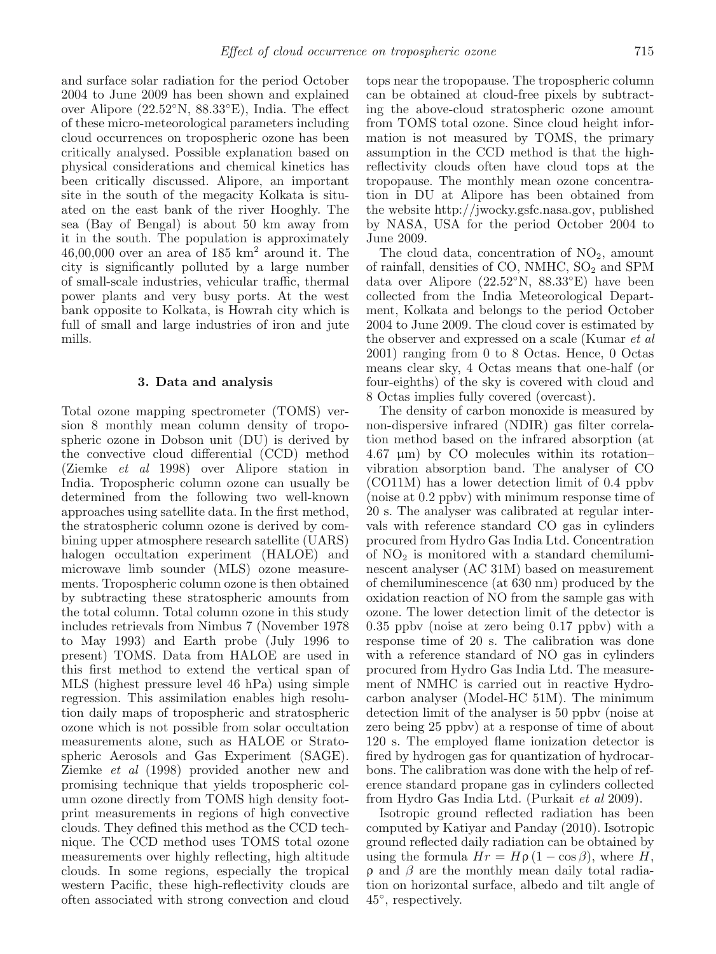and surface solar radiation for the period October 2004 to June 2009 has been shown and explained over Alipore (22.52◦N, 88.33◦E), India. The effect of these micro-meteorological parameters including cloud occurrences on tropospheric ozone has been critically analysed. Possible explanation based on physical considerations and chemical kinetics has been critically discussed. Alipore, an important site in the south of the megacity Kolkata is situated on the east bank of the river Hooghly. The sea (Bay of Bengal) is about 50 km away from it in the south. The population is approximately  $46,00,000$  over an area of  $185 \text{ km}^2$  around it. The city is significantly polluted by a large number of small-scale industries, vehicular traffic, thermal power plants and very busy ports. At the west bank opposite to Kolkata, is Howrah city which is full of small and large industries of iron and jute mills.

#### **3. Data and analysis**

Total ozone mapping spectrometer (TOMS) version 8 monthly mean column density of tropospheric ozone in Dobson unit (DU) is derived by the convective cloud differential (CCD) method (Ziemke et al 1998) over Alipore station in India. Tropospheric column ozone can usually be determined from the following two well-known approaches using satellite data. In the first method, the stratospheric column ozone is derived by combining upper atmosphere research satellite (UARS) halogen occultation experiment (HALOE) and microwave limb sounder (MLS) ozone measurements. Tropospheric column ozone is then obtained by subtracting these stratospheric amounts from the total column. Total column ozone in this study includes retrievals from Nimbus 7 (November 1978 to May 1993) and Earth probe (July 1996 to present) TOMS. Data from HALOE are used in this first method to extend the vertical span of MLS (highest pressure level 46 hPa) using simple regression. This assimilation enables high resolution daily maps of tropospheric and stratospheric ozone which is not possible from solar occultation measurements alone, such as HALOE or Stratospheric Aerosols and Gas Experiment (SAGE). Ziemke et al (1998) provided another new and promising technique that yields tropospheric column ozone directly from TOMS high density footprint measurements in regions of high convective clouds. They defined this method as the CCD technique. The CCD method uses TOMS total ozone measurements over highly reflecting, high altitude clouds. In some regions, especially the tropical western Pacific, these high-reflectivity clouds are often associated with strong convection and cloud

tops near the tropopause. The tropospheric column can be obtained at cloud-free pixels by subtracting the above-cloud stratospheric ozone amount from TOMS total ozone. Since cloud height information is not measured by TOMS, the primary assumption in the CCD method is that the highreflectivity clouds often have cloud tops at the tropopause. The monthly mean ozone concentration in DU at Alipore has been obtained from the website http://jwocky.gsfc.nasa.gov, published by NASA, USA for the period October 2004 to June 2009.

The cloud data, concentration of  $NO<sub>2</sub>$ , amount of rainfall, densities of CO, NMHC,  $SO<sub>2</sub>$  and SPM data over Alipore (22.52◦N, 88.33◦E) have been collected from the India Meteorological Department, Kolkata and belongs to the period October 2004 to June 2009. The cloud cover is estimated by the observer and expressed on a scale (Kumar et al 2001) ranging from 0 to 8 Octas. Hence, 0 Octas means clear sky, 4 Octas means that one-half (or four-eighths) of the sky is covered with cloud and 8 Octas implies fully covered (overcast).

The density of carbon monoxide is measured by non-dispersive infrared (NDIR) gas filter correlation method based on the infrared absorption (at 4.67 μm) by CO molecules within its rotation– vibration absorption band. The analyser of CO (CO11M) has a lower detection limit of 0.4 ppbv (noise at 0.2 ppbv) with minimum response time of 20 s. The analyser was calibrated at regular intervals with reference standard CO gas in cylinders procured from Hydro Gas India Ltd. Concentration of  $NO<sub>2</sub>$  is monitored with a standard chemiluminescent analyser (AC 31M) based on measurement of chemiluminescence (at 630 nm) produced by the oxidation reaction of NO from the sample gas with ozone. The lower detection limit of the detector is 0.35 ppbv (noise at zero being 0.17 ppbv) with a response time of 20 s. The calibration was done with a reference standard of NO gas in cylinders procured from Hydro Gas India Ltd. The measurement of NMHC is carried out in reactive Hydrocarbon analyser (Model-HC 51M). The minimum detection limit of the analyser is 50 ppbv (noise at zero being 25 ppbv) at a response of time of about 120 s. The employed flame ionization detector is fired by hydrogen gas for quantization of hydrocarbons. The calibration was done with the help of reference standard propane gas in cylinders collected from Hydro Gas India Ltd. (Purkait et al 2009).

Isotropic ground reflected radiation has been computed by Katiyar and Panday (2010). Isotropic ground reflected daily radiation can be obtained by using the formula  $Hr = H\rho (1 - \cos \beta)$ , where H, ρ and β are the monthly mean daily total radiation on horizontal surface, albedo and tilt angle of 45◦, respectively.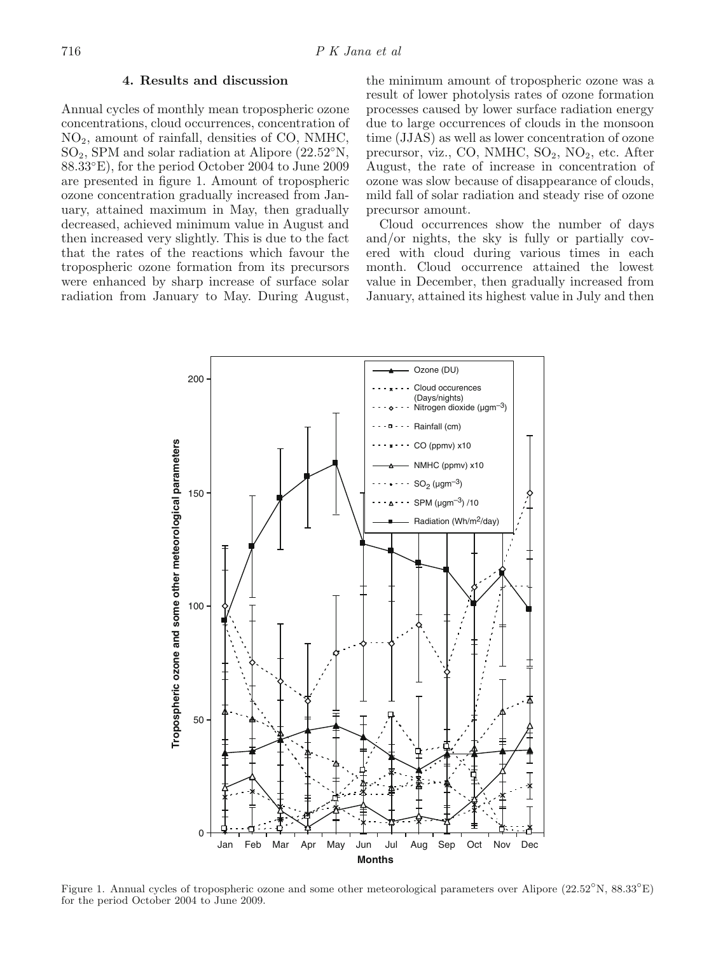### **4. Results and discussion**

Annual cycles of monthly mean tropospheric ozone concentrations, cloud occurrences, concentration of NO2, amount of rainfall, densities of CO, NMHC,  $SO_2$ , SPM and solar radiation at Alipore (22.52°N, 88.33◦E), for the period October 2004 to June 2009 are presented in figure 1. Amount of tropospheric ozone concentration gradually increased from January, attained maximum in May, then gradually decreased, achieved minimum value in August and then increased very slightly. This is due to the fact that the rates of the reactions which favour the tropospheric ozone formation from its precursors were enhanced by sharp increase of surface solar radiation from January to May. During August, the minimum amount of tropospheric ozone was a result of lower photolysis rates of ozone formation processes caused by lower surface radiation energy due to large occurrences of clouds in the monsoon time (JJAS) as well as lower concentration of ozone precursor, viz., CO, NMHC,  $SO_2$ , NO<sub>2</sub>, etc. After August, the rate of increase in concentration of ozone was slow because of disappearance of clouds, mild fall of solar radiation and steady rise of ozone precursor amount.

Cloud occurrences show the number of days and/or nights, the sky is fully or partially covered with cloud during various times in each month. Cloud occurrence attained the lowest value in December, then gradually increased from January, attained its highest value in July and then



Figure 1. Annual cycles of tropospheric ozone and some other meteorological parameters over Alipore (22.52◦N, 88.33◦E) for the period October 2004 to June 2009.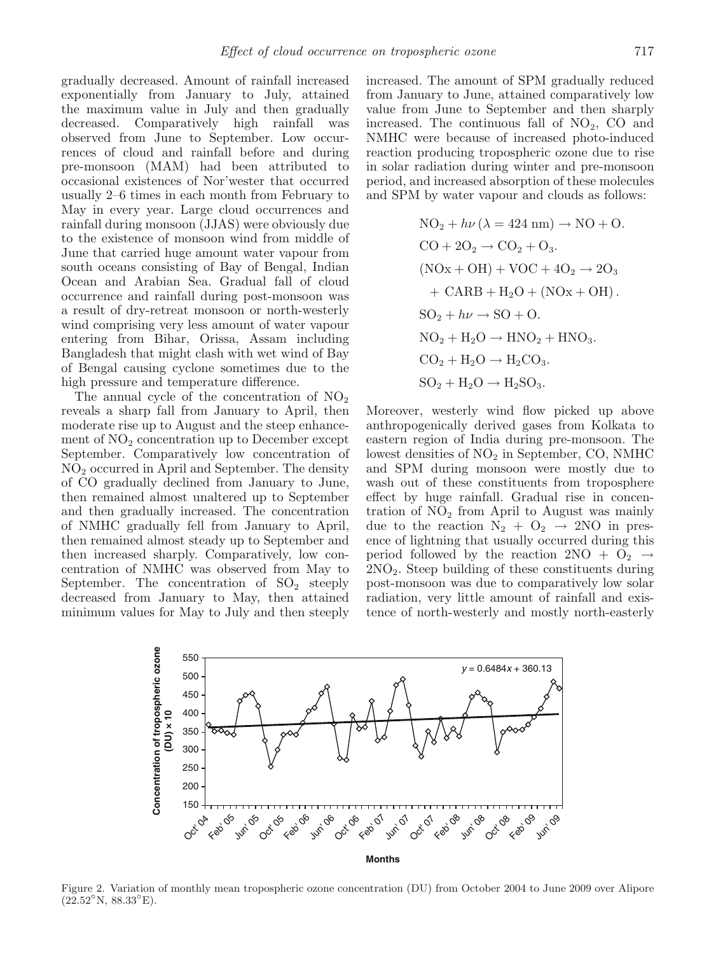gradually decreased. Amount of rainfall increased exponentially from January to July, attained the maximum value in July and then gradually decreased. Comparatively high rainfall was observed from June to September. Low occurrences of cloud and rainfall before and during pre-monsoon (MAM) had been attributed to occasional existences of Nor'wester that occurred usually 2–6 times in each month from February to May in every year. Large cloud occurrences and rainfall during monsoon (JJAS) were obviously due to the existence of monsoon wind from middle of June that carried huge amount water vapour from south oceans consisting of Bay of Bengal, Indian Ocean and Arabian Sea. Gradual fall of cloud occurrence and rainfall during post-monsoon was a result of dry-retreat monsoon or north-westerly wind comprising very less amount of water vapour entering from Bihar, Orissa, Assam including Bangladesh that might clash with wet wind of Bay of Bengal causing cyclone sometimes due to the high pressure and temperature difference.

The annual cycle of the concentration of  $NO<sub>2</sub>$ reveals a sharp fall from January to April, then moderate rise up to August and the steep enhancement of  $NO<sub>2</sub>$  concentration up to December except September. Comparatively low concentration of NO<sup>2</sup> occurred in April and September. The density of CO gradually declined from January to June, then remained almost unaltered up to September and then gradually increased. The concentration of NMHC gradually fell from January to April, then remained almost steady up to September and then increased sharply. Comparatively, low concentration of NMHC was observed from May to September. The concentration of  $SO_2$  steeply decreased from January to May, then attained minimum values for May to July and then steeply

increased. The amount of SPM gradually reduced from January to June, attained comparatively low value from June to September and then sharply increased. The continuous fall of  $NO<sub>2</sub>$ , CO and NMHC were because of increased photo-induced reaction producing tropospheric ozone due to rise in solar radiation during winter and pre-monsoon period, and increased absorption of these molecules and SPM by water vapour and clouds as follows:

$$
NO2 + h\nu (\lambda = 424 nm) \rightarrow NO + O.
$$
  
\n
$$
CO + 2O2 \rightarrow CO2 + O3.
$$
  
\n
$$
(NOx + OH) + VOC + 4O2 \rightarrow 2O3
$$
  
\n
$$
+ CARB + H2O + (NOx + OH).
$$
  
\n
$$
SO2 + h\nu \rightarrow SO + O.
$$
  
\n
$$
NO2 + H2O \rightarrow HNO2 + HNO3.
$$
  
\n
$$
CO2 + H2O \rightarrow H2CO3.
$$
  
\n
$$
SO2 + H2O \rightarrow H2SO3.
$$

Moreover, westerly wind flow picked up above anthropogenically derived gases from Kolkata to eastern region of India during pre-monsoon. The lowest densities of  $NO<sub>2</sub>$  in September, CO, NMHC and SPM during monsoon were mostly due to wash out of these constituents from troposphere effect by huge rainfall. Gradual rise in concentration of  $NO<sub>2</sub>$  from April to August was mainly due to the reaction  $N_2 + O_2 \rightarrow 2NO$  in presence of lightning that usually occurred during this period followed by the reaction 2NO +  $O_2 \rightarrow$  $2NO<sub>2</sub>$ . Steep building of these constituents during post-monsoon was due to comparatively low solar radiation, very little amount of rainfall and existence of north-westerly and mostly north-easterly



Figure 2. Variation of monthly mean tropospheric ozone concentration (DU) from October 2004 to June 2009 over Alipore  $(22.52°N, 88.33°E).$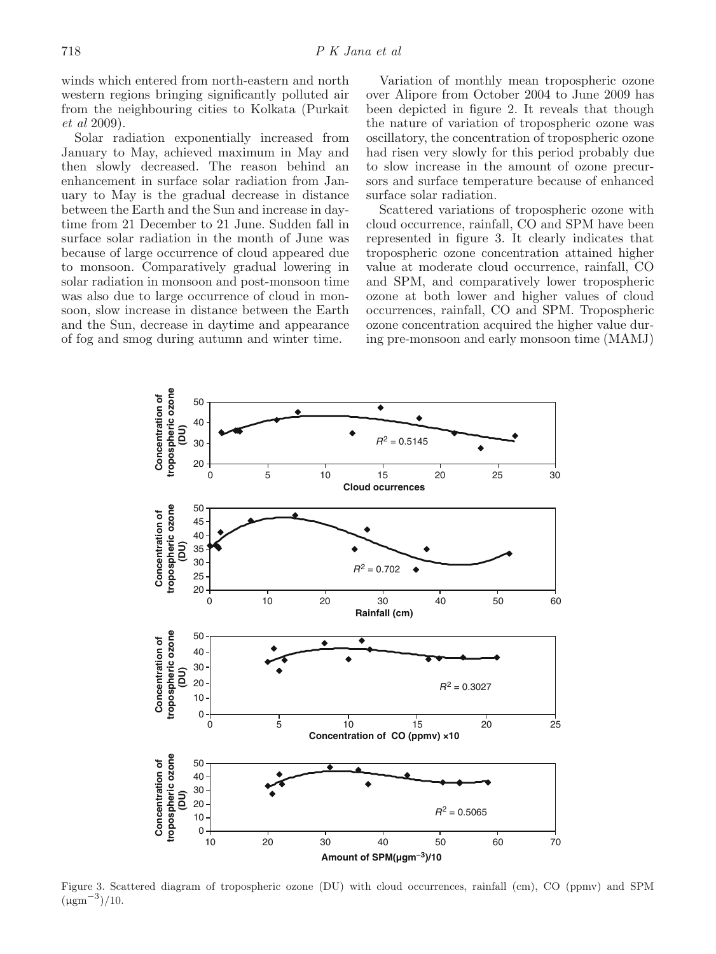winds which entered from north-eastern and north western regions bringing significantly polluted air from the neighbouring cities to Kolkata (Purkait et al 2009).

Solar radiation exponentially increased from January to May, achieved maximum in May and then slowly decreased. The reason behind an enhancement in surface solar radiation from January to May is the gradual decrease in distance between the Earth and the Sun and increase in daytime from 21 December to 21 June. Sudden fall in surface solar radiation in the month of June was because of large occurrence of cloud appeared due to monsoon. Comparatively gradual lowering in solar radiation in monsoon and post-monsoon time was also due to large occurrence of cloud in monsoon, slow increase in distance between the Earth and the Sun, decrease in daytime and appearance of fog and smog during autumn and winter time.

Variation of monthly mean tropospheric ozone over Alipore from October 2004 to June 2009 has been depicted in figure 2. It reveals that though the nature of variation of tropospheric ozone was oscillatory, the concentration of tropospheric ozone had risen very slowly for this period probably due to slow increase in the amount of ozone precursors and surface temperature because of enhanced surface solar radiation.

Scattered variations of tropospheric ozone with cloud occurrence, rainfall, CO and SPM have been represented in figure 3. It clearly indicates that tropospheric ozone concentration attained higher value at moderate cloud occurrence, rainfall, CO and SPM, and comparatively lower tropospheric ozone at both lower and higher values of cloud occurrences, rainfall, CO and SPM. Tropospheric ozone concentration acquired the higher value during pre-monsoon and early monsoon time (MAMJ)



Figure 3. Scattered diagram of tropospheric ozone (DU) with cloud occurrences, rainfall (cm), CO (ppmv) and SPM  $(\mu \text{g} \text{m}^{-3})/10$ .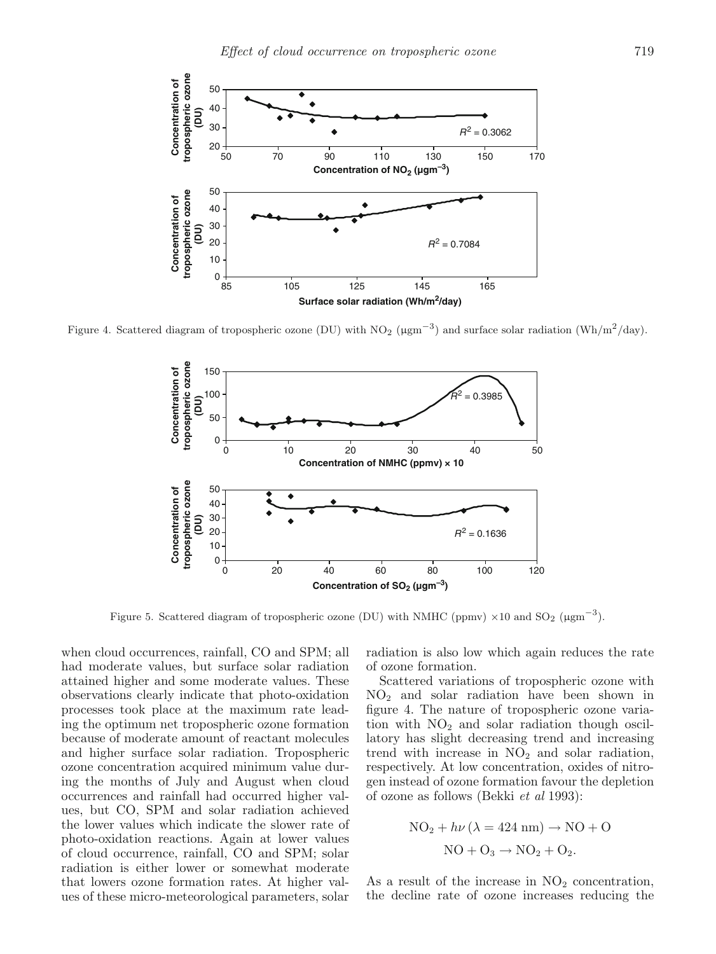

Figure 4. Scattered diagram of tropospheric ozone (DU) with NO<sub>2</sub> ( $\mu$ gm<sup>-3</sup>) and surface solar radiation (Wh/m<sup>2</sup>/day).



Figure 5. Scattered diagram of tropospheric ozone (DU) with NMHC (ppmv) ×10 and  $SO_2$  ( $\mu$ gm<sup>-3</sup>).

when cloud occurrences, rainfall, CO and SPM; all had moderate values, but surface solar radiation attained higher and some moderate values. These observations clearly indicate that photo-oxidation processes took place at the maximum rate leading the optimum net tropospheric ozone formation because of moderate amount of reactant molecules and higher surface solar radiation. Tropospheric ozone concentration acquired minimum value during the months of July and August when cloud occurrences and rainfall had occurred higher values, but CO, SPM and solar radiation achieved the lower values which indicate the slower rate of photo-oxidation reactions. Again at lower values of cloud occurrence, rainfall, CO and SPM; solar radiation is either lower or somewhat moderate that lowers ozone formation rates. At higher values of these micro-meteorological parameters, solar radiation is also low which again reduces the rate of ozone formation.

Scattered variations of tropospheric ozone with  $NO<sub>2</sub>$  and solar radiation have been shown in figure 4. The nature of tropospheric ozone variation with  $NO<sub>2</sub>$  and solar radiation though oscillatory has slight decreasing trend and increasing trend with increase in  $NO<sub>2</sub>$  and solar radiation, respectively. At low concentration, oxides of nitrogen instead of ozone formation favour the depletion of ozone as follows (Bekki et al 1993):

$$
NO2 + h\nu (\lambda = 424 nm) \rightarrow NO + O
$$

$$
NO + O3 \rightarrow NO2 + O2.
$$

As a result of the increase in  $NO<sub>2</sub>$  concentration, the decline rate of ozone increases reducing the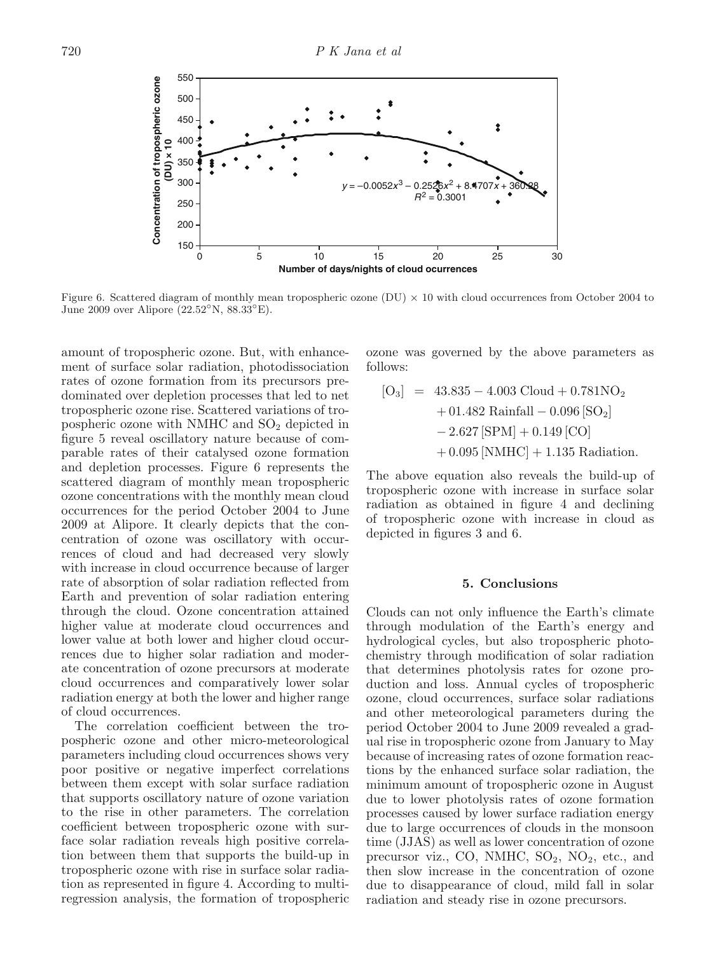

Figure 6. Scattered diagram of monthly mean tropospheric ozone (DU)  $\times$  10 with cloud occurrences from October 2004 to June 2009 over Alipore (22.52◦N, 88.33◦E).

amount of tropospheric ozone. But, with enhancement of surface solar radiation, photodissociation rates of ozone formation from its precursors predominated over depletion processes that led to net tropospheric ozone rise. Scattered variations of tropospheric ozone with NMHC and  $SO<sub>2</sub>$  depicted in figure 5 reveal oscillatory nature because of comparable rates of their catalysed ozone formation and depletion processes. Figure 6 represents the scattered diagram of monthly mean tropospheric ozone concentrations with the monthly mean cloud occurrences for the period October 2004 to June 2009 at Alipore. It clearly depicts that the concentration of ozone was oscillatory with occurrences of cloud and had decreased very slowly with increase in cloud occurrence because of larger rate of absorption of solar radiation reflected from Earth and prevention of solar radiation entering through the cloud. Ozone concentration attained higher value at moderate cloud occurrences and lower value at both lower and higher cloud occurrences due to higher solar radiation and moderate concentration of ozone precursors at moderate cloud occurrences and comparatively lower solar radiation energy at both the lower and higher range of cloud occurrences.

The correlation coefficient between the tropospheric ozone and other micro-meteorological parameters including cloud occurrences shows very poor positive or negative imperfect correlations between them except with solar surface radiation that supports oscillatory nature of ozone variation to the rise in other parameters. The correlation coefficient between tropospheric ozone with surface solar radiation reveals high positive correlation between them that supports the build-up in tropospheric ozone with rise in surface solar radiation as represented in figure 4. According to multiregression analysis, the formation of tropospheric ozone was governed by the above parameters as follows:

$$
[O3] = 43.835 - 4.003 Cloud + 0.781NO2+ 01.482 Rainfall - 0.096 [SO2]- 2.627 [SPM] + 0.149 [CO]+ 0.095 [NMHC] + 1.135 Radiation.
$$

The above equation also reveals the build-up of tropospheric ozone with increase in surface solar radiation as obtained in figure 4 and declining of tropospheric ozone with increase in cloud as depicted in figures 3 and 6.

## **5. Conclusions**

Clouds can not only influence the Earth's climate through modulation of the Earth's energy and hydrological cycles, but also tropospheric photochemistry through modification of solar radiation that determines photolysis rates for ozone production and loss. Annual cycles of tropospheric ozone, cloud occurrences, surface solar radiations and other meteorological parameters during the period October 2004 to June 2009 revealed a gradual rise in tropospheric ozone from January to May because of increasing rates of ozone formation reactions by the enhanced surface solar radiation, the minimum amount of tropospheric ozone in August due to lower photolysis rates of ozone formation processes caused by lower surface radiation energy due to large occurrences of clouds in the monsoon time (JJAS) as well as lower concentration of ozone precursor viz., CO, NMHC,  $SO_2$ ,  $NO_2$ , etc., and then slow increase in the concentration of ozone due to disappearance of cloud, mild fall in solar radiation and steady rise in ozone precursors.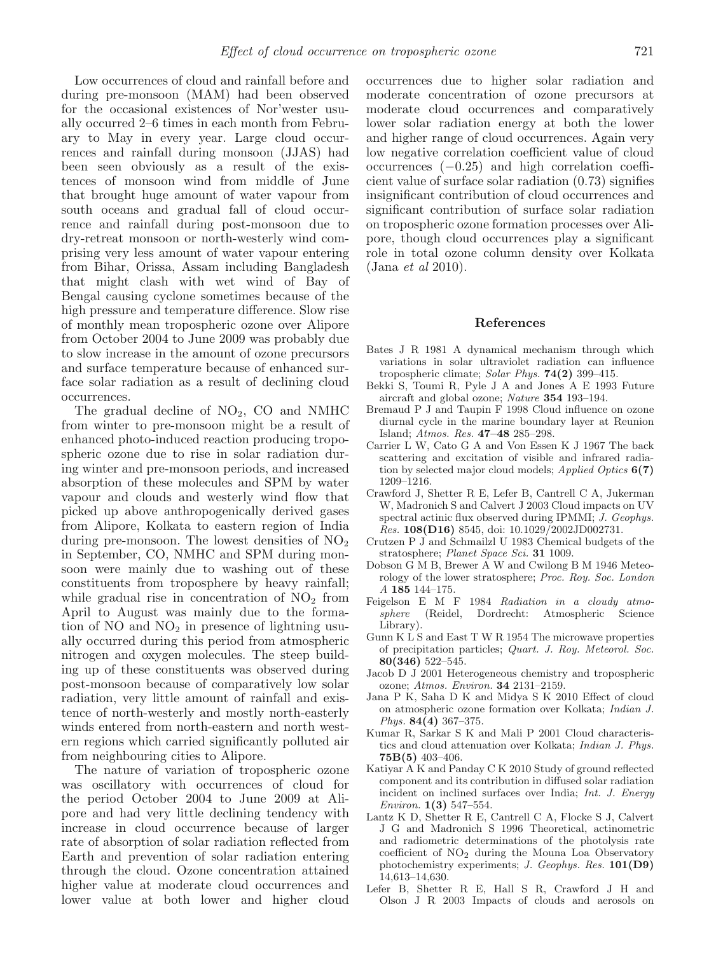Low occurrences of cloud and rainfall before and during pre-monsoon (MAM) had been observed for the occasional existences of Nor'wester usually occurred 2–6 times in each month from February to May in every year. Large cloud occurrences and rainfall during monsoon (JJAS) had been seen obviously as a result of the existences of monsoon wind from middle of June that brought huge amount of water vapour from south oceans and gradual fall of cloud occurrence and rainfall during post-monsoon due to dry-retreat monsoon or north-westerly wind comprising very less amount of water vapour entering from Bihar, Orissa, Assam including Bangladesh that might clash with wet wind of Bay of Bengal causing cyclone sometimes because of the high pressure and temperature difference. Slow rise of monthly mean tropospheric ozone over Alipore from October 2004 to June 2009 was probably due to slow increase in the amount of ozone precursors and surface temperature because of enhanced surface solar radiation as a result of declining cloud occurrences.

The gradual decline of  $NO<sub>2</sub>$ , CO and NMHC from winter to pre-monsoon might be a result of enhanced photo-induced reaction producing tropospheric ozone due to rise in solar radiation during winter and pre-monsoon periods, and increased absorption of these molecules and SPM by water vapour and clouds and westerly wind flow that picked up above anthropogenically derived gases from Alipore, Kolkata to eastern region of India during pre-monsoon. The lowest densities of  $NO<sub>2</sub>$ in September, CO, NMHC and SPM during monsoon were mainly due to washing out of these constituents from troposphere by heavy rainfall; while gradual rise in concentration of  $NO<sub>2</sub>$  from April to August was mainly due to the formation of NO and  $NO<sub>2</sub>$  in presence of lightning usually occurred during this period from atmospheric nitrogen and oxygen molecules. The steep building up of these constituents was observed during post-monsoon because of comparatively low solar radiation, very little amount of rainfall and existence of north-westerly and mostly north-easterly winds entered from north-eastern and north western regions which carried significantly polluted air from neighbouring cities to Alipore.

The nature of variation of tropospheric ozone was oscillatory with occurrences of cloud for the period October 2004 to June 2009 at Alipore and had very little declining tendency with increase in cloud occurrence because of larger rate of absorption of solar radiation reflected from Earth and prevention of solar radiation entering through the cloud. Ozone concentration attained higher value at moderate cloud occurrences and lower value at both lower and higher cloud

occurrences due to higher solar radiation and moderate concentration of ozone precursors at moderate cloud occurrences and comparatively lower solar radiation energy at both the lower and higher range of cloud occurrences. Again very low negative correlation coefficient value of cloud occurrences  $(-0.25)$  and high correlation coefficient value of surface solar radiation (0.73) signifies insignificant contribution of cloud occurrences and significant contribution of surface solar radiation on tropospheric ozone formation processes over Alipore, though cloud occurrences play a significant role in total ozone column density over Kolkata (Jana et al 2010).

#### **References**

- Bates J R 1981 A dynamical mechanism through which variations in solar ultraviolet radiation can influence tropospheric climate; Solar Phys. **74(2)** 399–415.
- Bekki S, Toumi R, Pyle J A and Jones A E 1993 Future aircraft and global ozone; Nature **354** 193–194.
- Bremaud P J and Taupin F 1998 Cloud influence on ozone diurnal cycle in the marine boundary layer at Reunion Island; Atmos. Res. **47–48** 285–298.
- Carrier L W, Cato G A and Von Essen K J 1967 The back scattering and excitation of visible and infrared radiation by selected major cloud models; Applied Optics **6(7)** 1209–1216.
- Crawford J, Shetter R E, Lefer B, Cantrell C A, Jukerman W, Madronich S and Calvert J 2003 Cloud impacts on UV spectral actinic flux observed during IPMMI; *J. Geophys.* Res. **108(D16)** 8545, doi: 10.1029/2002JD002731.
- Crutzen P J and Schmailzl U 1983 Chemical budgets of the stratosphere; Planet Space Sci. **31** 1009.
- Dobson G M B, Brewer A W and Cwilong B M 1946 Meteorology of the lower stratosphere; Proc. Roy. Soc. London A **185** 144–175.
- Feigelson E M F 1984 Radiation in a cloudy atmo-<br>sphere (Reidel, Dordrecht: Atmospheric Science  $sphere$  (Reidel, Dordrecht: Atmospheric Library).
- Gunn K  $\tilde{L}$  S and East T W R 1954 The microwave properties of precipitation particles; Quart. J. Roy. Meteorol. Soc. **80(346)** 522–545.
- Jacob D J 2001 Heterogeneous chemistry and tropospheric ozone; Atmos. Environ. **34** 2131–2159.
- Jana P K, Saha D K and Midya S K 2010 Effect of cloud on atmospheric ozone formation over Kolkata; Indian J. Phys. **84(4)** 367–375.
- Kumar R, Sarkar S K and Mali P 2001 Cloud characteristics and cloud attenuation over Kolkata; Indian J. Phys. **75B(5)** 403–406.
- Katiyar A K and Panday C K 2010 Study of ground reflected component and its contribution in diffused solar radiation incident on inclined surfaces over India; Int. J. Energy Environ. **1(3)** 547–554.
- Lantz K D, Shetter R E, Cantrell C A, Flocke S J, Calvert J G and Madronich S 1996 Theoretical, actinometric and radiometric determinations of the photolysis rate coefficient of NO2 during the Mouna Loa Observatory photochemistry experiments; J. Geophys. Res. **101(D9)** 14,613–14,630.
- Lefer B, Shetter R E, Hall S R, Crawford J H and Olson J R 2003 Impacts of clouds and aerosols on